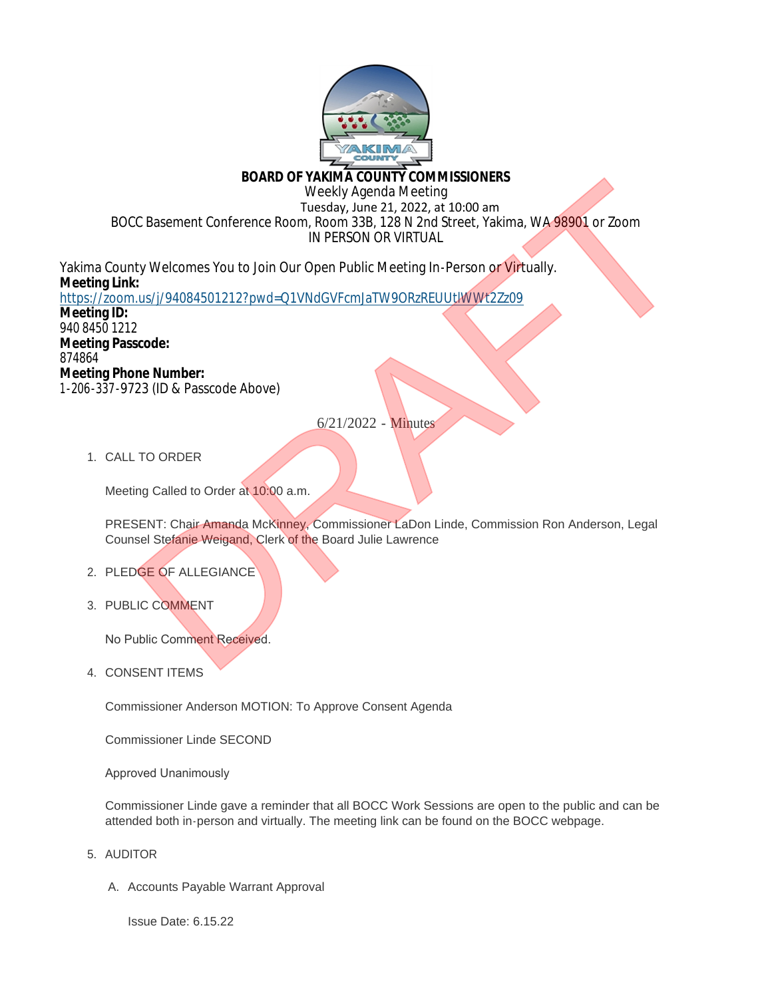

# **BOARD OF YAKIMA COUNTY COMMISSIONERS**

Weekly Agenda Meeting

 Tuesday, June 21, 2022, at 10:00 am BOCC Basement Conference Room, Room 33B, 128 N 2nd Street, Yakima, WA 98901 or Zoom IN PERSON OR VIRTUAL

Yakima County Welcomes You to Join Our Open Public Meeting In-Person or Virtually. **Meeting Link:** https://zoom.us/j/94084501212?pwd=Q1VNdGVFcmJaTW9ORzREUUtlWWt2Zz09 **Meeting ID:** 940 8450 1212 **Meeting Passcode:** 874864 **Meeting Phone Number:** 1-206-337-9723 (ID & Passcode Above) BOARD OF VACKING COUNTY COMMISSIONERS<br>
Tuesday, June 21, 2022, at 10:00 am<br>
Tuesday, June 21, 2022, at 10:00 am<br>
IN PERSON OR VIRTUAL<br>
IN PERSON OR VIRTUAL<br>
C. Basement Conference Room, Room 33B, 12B N 2nd Street, Yakima,

6/21/2022 - Minutes

1. CALL TO ORDER

Meeting Called to Order at 10:00 a.m.

PRESENT: Chair Amanda McKinney, Commissioner LaDon Linde, Commission Ron Anderson, Legal Counsel Stefanie Weigand, Clerk of the Board Julie Lawrence

- 2. PLEDGE OF ALLEGIANCE
- 3. PUBLIC COMMENT

No Public Comment Received.

4. CONSENT ITEMS

Commissioner Anderson MOTION: To Approve Consent Agenda

Commissioner Linde SECOND

Approved Unanimously

Commissioner Linde gave a reminder that all BOCC Work Sessions are open to the public and can be attended both in-person and virtually. The meeting link can be found on the BOCC webpage.

- 5. AUDITOR
	- A. Accounts Payable Warrant Approval

Issue Date: 6.15.22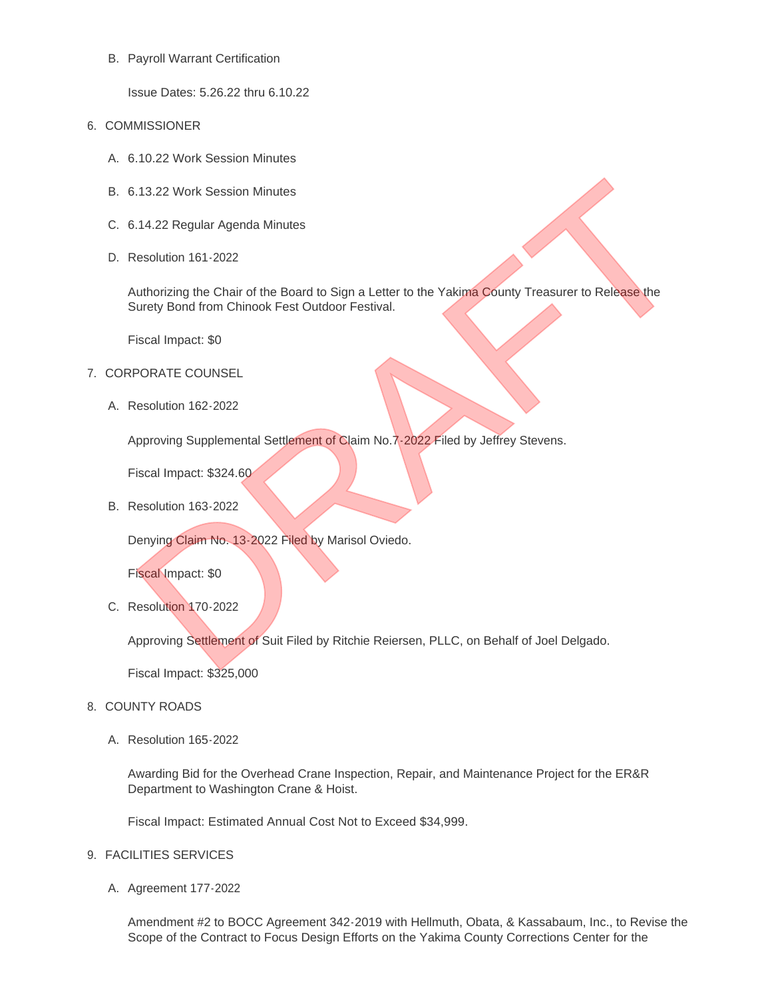## B. Payroll Warrant Certification

Issue Dates: 5.26.22 thru 6.10.22

- 6. COMMISSIONER
	- 6.10.22 Work Session Minutes A.
	- 6.13.22 Work Session Minutes B.
	- 6.14.22 Regular Agenda Minutes C.
	- D. Resolution 161-2022

Authorizing the Chair of the Board to Sign a Letter to the Yakima County Treasurer to Release the Surety Bond from Chinook Fest Outdoor Festival. 1.13.22 Work Session Minutes<br>
1.14.22 Regular Agenda Minutes<br>
1.14.22 Regular Agenda Minutes<br>
1.14.22 Regular Agenda Minutes<br>
1.16.222 Resolution 161-2022<br>
1.16.2022<br>
1.16.2022<br>
1.16.2022<br>
1.16.2022<br>
1.16.2022<br>
1.16.2022<br>

Fiscal Impact: \$0

- 7. CORPORATE COUNSEL
	- Resolution 162-2022 A.

Approving Supplemental Settlement of Claim No.7-2022 Filed by Jeffrey Stevens.

Fiscal Impact: \$324.60

B. Resolution 163-2022

Denying Claim No. 13-2022 Filed by Marisol Oviedo.

Fiscal Impact: \$0

C. Resolution 170-2022

Approving Settlement of Suit Filed by Ritchie Reiersen, PLLC, on Behalf of Joel Delgado.

Fiscal Impact: \$325,000

#### 8. COUNTY ROADS

Resolution 165-2022 A.

Awarding Bid for the Overhead Crane Inspection, Repair, and Maintenance Project for the ER&R Department to Washington Crane & Hoist.

Fiscal Impact: Estimated Annual Cost Not to Exceed \$34,999.

#### FACILITIES SERVICES 9.

A. Agreement 177-2022

Amendment #2 to BOCC Agreement 342-2019 with Hellmuth, Obata, & Kassabaum, Inc., to Revise the Scope of the Contract to Focus Design Efforts on the Yakima County Corrections Center for the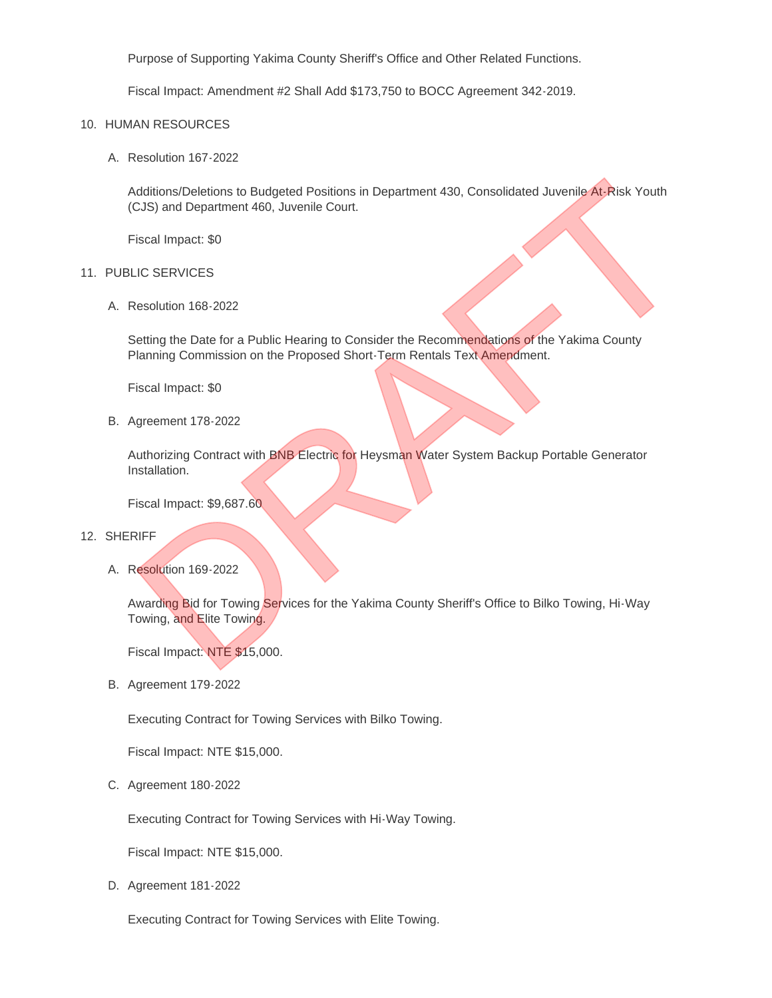Purpose of Supporting Yakima County Sheriff's Office and Other Related Functions.

Fiscal Impact: Amendment #2 Shall Add \$173,750 to BOCC Agreement 342-2019.

#### 10. HUMAN RESOURCES

Resolution 167-2022 A.

Additions/Deletions to Budgeted Positions in Department 430, Consolidated Juvenile At-Risk Youth (CJS) and Department 460, Juvenile Court. Motitions/Deletions to Budgeted Positions in Department 430, Consolidated Juvenile At-Risk Youth<br>CJS) and Department 460, Juvenile Court.<br>Siscal Impact: 50<br>Motivia 168-2022<br>Sestung the Date for a Public Hearing to Consider

Fiscal Impact: \$0

#### 11. PUBLIC SERVICES

Resolution 168-2022 A.

Setting the Date for a Public Hearing to Consider the Recommendations of the Yakima County Planning Commission on the Proposed Short-Term Rentals Text Amendment.

Fiscal Impact: \$0

**B.** Agreement 178-2022

Authorizing Contract with BNB Electric for Heysman Water System Backup Portable Generator Installation.

Fiscal Impact: \$9,687.60

### 12. SHERIFF

A. Resolution 169-2022

Awarding Bid for Towing Services for the Yakima County Sheriff's Office to Bilko Towing, Hi-Way Towing, and Elite Towing.

Fiscal Impact: NTE \$15,000.

**B.** Agreement 179-2022

Executing Contract for Towing Services with Bilko Towing.

Fiscal Impact: NTE \$15,000.

C. Agreement 180-2022

Executing Contract for Towing Services with Hi-Way Towing.

Fiscal Impact: NTE \$15,000.

D. Agreement 181-2022

Executing Contract for Towing Services with Elite Towing.